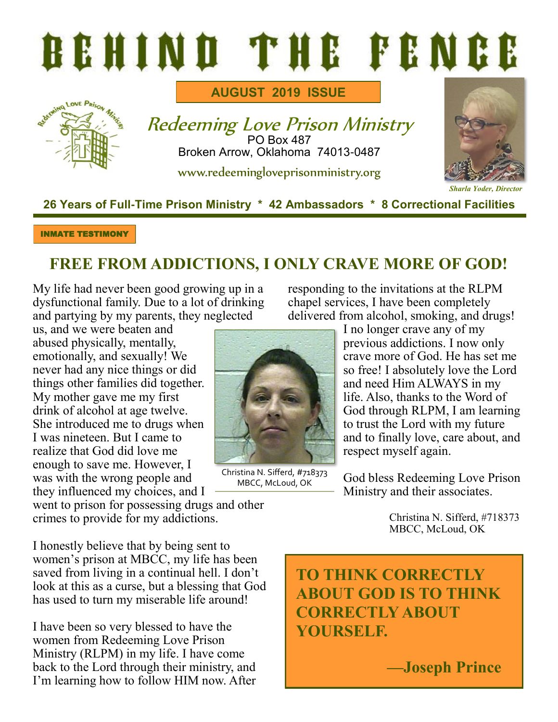# BEHIND THE FENCE



**AUGUST 2019 ISSUE**

Redeeming Love Prison Ministry PO Box 487 Broken Arrow, Oklahoma 74013-0487

www.redeemingloveprisonministry.org



#### **26 Years of Full-Time Prison Ministry \* 42 Ambassadors \* 8 Correctional Facilities**

INMATE TESTIMONY

## **FREE FROM ADDICTIONS, I ONLY CRAVE MORE OF GOD!**

My life had never been good growing up in a dysfunctional family. Due to a lot of drinking and partying by my parents, they neglected

us, and we were beaten and abused physically, mentally, emotionally, and sexually! We never had any nice things or did things other families did together. My mother gave me my first drink of alcohol at age twelve. She introduced me to drugs when I was nineteen. But I came to realize that God did love me enough to save me. However, I was with the wrong people and they influenced my choices, and I

Christina N. Sifferd, #718373 MBCC, McLoud, OK

responding to the invitations at the RLPM chapel services, I have been completely delivered from alcohol, smoking, and drugs!

I no longer crave any of my previous addictions. I now only crave more of God. He has set me so free! I absolutely love the Lord and need Him ALWAYS in my life. Also, thanks to the Word of God through RLPM, I am learning to trust the Lord with my future and to finally love, care about, and respect myself again.

God bless Redeeming Love Prison Ministry and their associates.

> Christina N. Sifferd, #718373 MBCC, McLoud, OK

I honestly believe that by being sent to women's prison at MBCC, my life has been saved from living in a continual hell. I don't look at this as a curse, but a blessing that God has used to turn my miserable life around!

went to prison for possessing drugs and other

crimes to provide for my addictions.

I have been so very blessed to have the women from Redeeming Love Prison Ministry (RLPM) in my life. I have come back to the Lord through their ministry, and I'm learning how to follow HIM now. After **TO THINK CORRECTLY ABOUT GOD IS TO THINK CORRECTLY ABOUT YOURSELF.** 

**—Joseph Prince**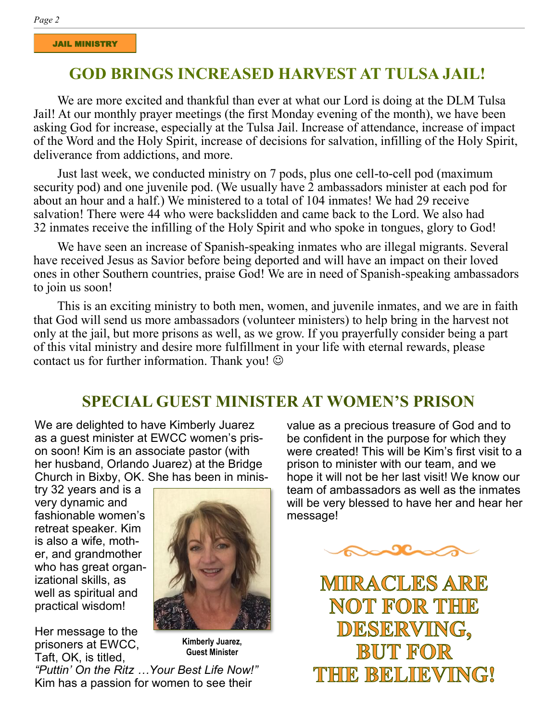## **GOD BRINGS INCREASED HARVEST AT TULSA JAIL!**

We are more excited and thankful than ever at what our Lord is doing at the DLM Tulsa Jail! At our monthly prayer meetings (the first Monday evening of the month), we have been asking God for increase, especially at the Tulsa Jail. Increase of attendance, increase of impact of the Word and the Holy Spirit, increase of decisions for salvation, infilling of the Holy Spirit, deliverance from addictions, and more.

Just last week, we conducted ministry on 7 pods, plus one cell-to-cell pod (maximum security pod) and one juvenile pod. (We usually have 2 ambassadors minister at each pod for about an hour and a half.) We ministered to a total of 104 inmates! We had 29 receive salvation! There were 44 who were backslidden and came back to the Lord. We also had 32 inmates receive the infilling of the Holy Spirit and who spoke in tongues, glory to God!

We have seen an increase of Spanish-speaking inmates who are illegal migrants. Several have received Jesus as Savior before being deported and will have an impact on their loved ones in other Southern countries, praise God! We are in need of Spanish-speaking ambassadors to join us soon!

This is an exciting ministry to both men, women, and juvenile inmates, and we are in faith that God will send us more ambassadors (volunteer ministers) to help bring in the harvest not only at the jail, but more prisons as well, as we grow. If you prayerfully consider being a part of this vital ministry and desire more fulfillment in your life with eternal rewards, please contact us for further information. Thank you!  $\odot$ 

## **SPECIAL GUEST MINISTER AT WOMEN'S PRISON**

We are delighted to have Kimberly Juarez as a guest minister at EWCC women's prison soon! Kim is an associate pastor (with her husband, Orlando Juarez) at the Bridge Church in Bixby, OK. She has been in minis-

try 32 years and is a very dynamic and fashionable women's retreat speaker. Kim is also a wife, mother, and grandmother who has great organizational skills, as well as spiritual and practical wisdom!

Her message to the prisoners at EWCC, Taft, OK, is titled,



**Kimberly Juarez, Guest Minister**

*"Puttin' On the Ritz …Your Best Life Now!"* Kim has a passion for women to see their

value as a precious treasure of God and to be confident in the purpose for which they were created! This will be Kim's first visit to a prison to minister with our team, and we hope it will not be her last visit! We know our team of ambassadors as well as the inmates will be very blessed to have her and hear her message!



MIRACLES ARE **NOT FOR THE** DESERVING, **BUT FOR** THE BELIEVING!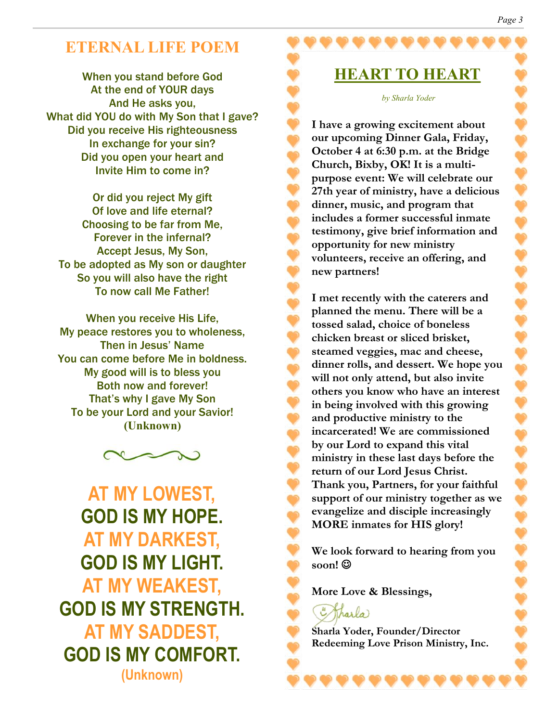## **ETERNAL LIFE POEM**

When you stand before God At the end of YOUR days And He asks you, What did YOU do with My Son that I gave? Did you receive His righteousness In exchange for your sin? Did you open your heart and Invite Him to come in?

Or did you reject My gift Of love and life eternal? Choosing to be far from Me, Forever in the infernal? Accept Jesus, My Son, To be adopted as My son or daughter So you will also have the right To now call Me Father!

When you receive His Life, My peace restores you to wholeness, Then in Jesus' Name You can come before Me in boldness. My good will is to bless you Both now and forever! That's why I gave My Son To be your Lord and your Savior! **(Unknown)**



**AT MY LOWEST, GOD IS MY HOPE. AT MY DARKEST, GOD IS MY LIGHT. AT MY WEAKEST, GOD IS MY STRENGTH. AT MY SADDEST, GOD IS MY COMFORT. (Unknown)**

**HEART TO HEART**

*by Sharla Yoder*

**I have a growing excitement about our upcoming Dinner Gala, Friday, October 4 at 6:30 p.m. at the Bridge Church, Bixby, OK! It is a multipurpose event: We will celebrate our 27th year of ministry, have a delicious dinner, music, and program that includes a former successful inmate testimony, give brief information and opportunity for new ministry volunteers, receive an offering, and new partners!**

**I met recently with the caterers and planned the menu. There will be a tossed salad, choice of boneless chicken breast or sliced brisket, steamed veggies, mac and cheese, dinner rolls, and dessert. We hope you will not only attend, but also invite others you know who have an interest in being involved with this growing and productive ministry to the incarcerated! We are commissioned by our Lord to expand this vital ministry in these last days before the return of our Lord Jesus Christ. Thank you, Partners, for your faithful support of our ministry together as we evangelize and disciple increasingly MORE inmates for HIS glory!**

**We look forward to hearing from you soon!** ☺

**More Love & Blessings,**

Tharla

**Sharla Yoder, Founder/Director Redeeming Love Prison Ministry, Inc.**